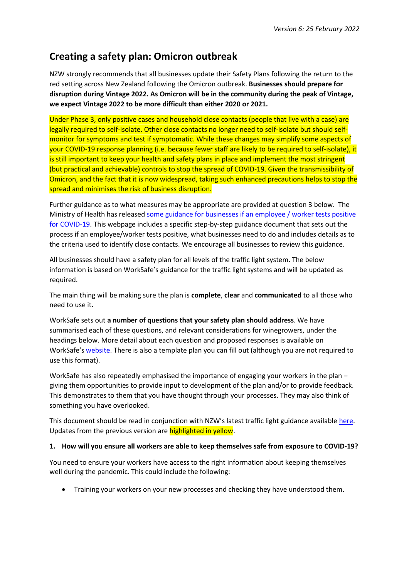# **Creating a safety plan: Omicron outbreak**

NZW strongly recommends that all businesses update their Safety Plans following the return to the red setting across New Zealand following the Omicron outbreak. **Businesses should prepare for disruption during Vintage 2022. As Omicron will be in the community during the peak of Vintage, we expect Vintage 2022 to be more difficult than either 2020 or 2021.** 

Under Phase 3, only positive cases and household close contacts (people that live with a case) are legally required to self-isolate. Other close contacts no longer need to self-isolate but should selfmonitor for symptoms and test if symptomatic. While these changes may simplify some aspects of your COVID-19 response planning (i.e. because fewer staff are likely to be required to self-isolate), it is still important to keep your health and safety plans in place and implement the most stringent (but practical and achievable) controls to stop the spread of COVID-19. Given the transmissibility of Omicron, and the fact that it is now widespread, taking such enhanced precautions helps to stop the spread and minimises the risk of business disruption.

Further guidance as to what measures may be appropriate are provided at question 3 below. The Ministry of Health has released [some guidance for businesses if an employee / worker tests positive](https://www.health.govt.nz/our-work/diseases-and-conditions/covid-19-novel-coronavirus/covid-19-health-advice-public/contact-tracing-covid-19/guidance-workplaces-have-case-covid-19)  [for COVID-19.](https://www.health.govt.nz/our-work/diseases-and-conditions/covid-19-novel-coronavirus/covid-19-health-advice-public/contact-tracing-covid-19/guidance-workplaces-have-case-covid-19) This webpage includes a specific step-by-step guidance document that sets out the process if an employee/worker tests positive, what businesses need to do and includes details as to the criteria used to identify close contacts. We encourage all businesses to review this guidance.

All businesses should have a safety plan for all levels of the traffic light system. The below information is based on WorkSafe's guidance for the traffic light systems and will be updated as required.

The main thing will be making sure the plan is **complete**, **clear** and **communicated** to all those who need to use it.

WorkSafe sets out **a number of questions that your safety plan should address**. We have summarised each of these questions, and relevant considerations for winegrowers, under the headings below. More detail about each question and proposed responses is available on WorkSafe's [website.](https://www.worksafe.govt.nz/managing-health-and-safety/novel-coronavirus-covid/operating-safely-what-you-need-to-think-about/) There is also a template plan you can fill out (although you are not required to use this format).

WorkSafe has also repeatedly emphasised the importance of engaging your workers in the plan – giving them opportunities to provide input to development of the plan and/or to provide feedback. This demonstrates to them that you have thought through your processes. They may also think of something you have overlooked.

This document should be read in conjunction with NZW's latest traffic light guidance available [here.](https://www.nzwine.com/en/covid19/practical-advice/) Updates from the previous version are highlighted in yellow.

## **1. How will you ensure all workers are able to keep themselves safe from exposure to COVID-19?**

You need to ensure your workers have access to the right information about keeping themselves well during the pandemic. This could include the following:

• Training your workers on your new processes and checking they have understood them.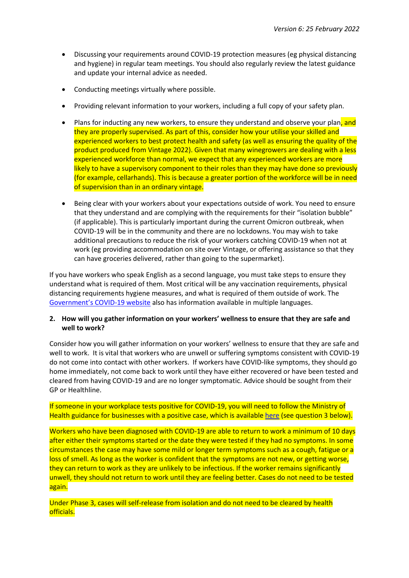- Discussing your requirements around COVID-19 protection measures (eg physical distancing and hygiene) in regular team meetings. You should also regularly review the latest guidance and update your internal advice as needed.
- Conducting meetings virtually where possible.
- Providing relevant information to your workers, including a full copy of your safety plan.
- Plans for inducting any new workers, to ensure they understand and observe your plan, and they are properly supervised. As part of this, consider how your utilise your skilled and experienced workers to best protect health and safety (as well as ensuring the quality of the product produced from Vintage 2022). Given that many winegrowers are dealing with a less experienced workforce than normal, we expect that any experienced workers are more likely to have a supervisory component to their roles than they may have done so previously (for example, cellarhands). This is because a greater portion of the workforce will be in need of supervision than in an ordinary vintage.
- Being clear with your workers about your expectations outside of work. You need to ensure that they understand and are complying with the requirements for their "isolation bubble" (if applicable). This is particularly important during the current Omicron outbreak, when COVID-19 will be in the community and there are no lockdowns. You may wish to take additional precautions to reduce the risk of your workers catching COVID-19 when not at work (eg providing accommodation on site over Vintage, or offering assistance so that they can have groceries delivered, rather than going to the supermarket).

If you have workers who speak English as a second language, you must take steps to ensure they understand what is required of them. Most critical will be any vaccination requirements, physical distancing requirements hygiene measures, and what is required of them outside of work. The [Government's COVID-19 website](https://covid19.govt.nz/updates-and-resources/translations/) also has information available in multiple languages.

## **2. How will you gather information on your workers' wellness to ensure that they are safe and well to work?**

Consider how you will gather information on your workers' wellness to ensure that they are safe and well to work. It is vital that workers who are unwell or suffering symptoms consistent with COVID-19 do not come into contact with other workers. If workers have COVID-like symptoms, they should go home immediately, not come back to work until they have either recovered or have been tested and cleared from having COVID-19 and are no longer symptomatic. Advice should be sought from their GP or Healthline.

If someone in your workplace tests positive for COVID-19, you will need to follow the Ministry of Health guidance for businesses with a positive case, which is available [here](https://www.health.govt.nz/our-work/diseases-and-conditions/covid-19-novel-coronavirus/covid-19-health-advice-public/contact-tracing-covid-19/guidance-workplaces-have-case-covid-19) (see question 3 below).

Workers who have been diagnosed with COVID-19 are able to return to work a minimum of 10 days after either their symptoms started or the date they were tested if they had no symptoms. In some circumstances the case may have some mild or longer term symptoms such as a cough, fatigue or a loss of smell. As long as the worker is confident that the symptoms are not new, or getting worse, they can return to work as they are unlikely to be infectious. If the worker remains significantly unwell, they should not return to work until they are feeling better. Cases do not need to be tested again.

Under Phase 3, cases will self-release from isolation and do not need to be cleared by health officials.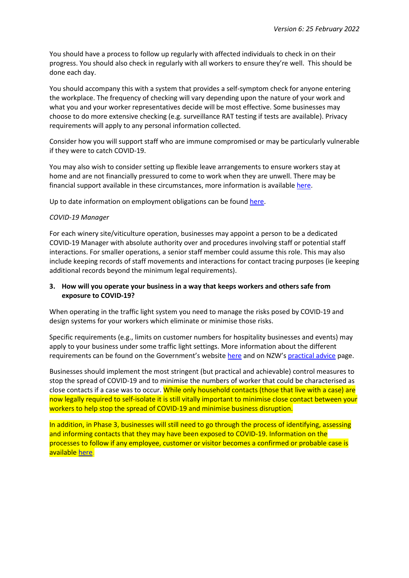You should have a process to follow up regularly with affected individuals to check in on their progress. You should also check in regularly with all workers to ensure they're well. This should be done each day.

You should accompany this with a system that provides a self-symptom check for anyone entering the workplace. The frequency of checking will vary depending upon the nature of your work and what you and your worker representatives decide will be most effective. Some businesses may choose to do more extensive checking (e.g. surveillance RAT testing if tests are available). Privacy requirements will apply to any personal information collected.

Consider how you will support staff who are immune compromised or may be particularly vulnerable if they were to catch COVID-19.

You may also wish to consider setting up flexible leave arrangements to ensure workers stay at home and are not financially pressured to come to work when they are unwell. There may be financial support available in these circumstances, more information is available [here.](https://covid19.govt.nz/isolation-and-care/financial-support/)

Up to date information on employment obligations can be found [here.](https://www.employment.govt.nz/leave-and-holidays/other-types-of-leave/coronavirus-workplace/)

#### *COVID-19 Manager*

For each winery site/viticulture operation, businesses may appoint a person to be a dedicated COVID-19 Manager with absolute authority over and procedures involving staff or potential staff interactions. For smaller operations, a senior staff member could assume this role. This may also include keeping records of staff movements and interactions for contact tracing purposes (ie keeping additional records beyond the minimum legal requirements).

## **3. How will you operate your business in a way that keeps workers and others safe from exposure to COVID-19?**

When operating in the traffic light system you need to manage the risks posed by COVID-19 and design systems for your workers which eliminate or minimise those risks.

Specific requirements (e.g., limits on customer numbers for hospitality businesses and events) may apply to your business under some traffic light settings. More information about the different requirements can be found on the Government's website [here](https://covid19.govt.nz/traffic-lights/covid-19-protection-framework/) and on NZW's [practical advice](https://www.nzwine.com/en/covid19/practical-advice/) page.

Businesses should implement the most stringent (but practical and achievable) control measures to stop the spread of COVID-19 and to minimise the numbers of worker that could be characterised as close contacts if a case was to occur. While only household contacts (those that live with a case) are now legally required to self-isolate it is still vitally important to minimise close contact between your workers to help stop the spread of COVID-19 and minimise business disruption.

In addition, in Phase 3, businesses will still need to go through the process of identifying, assessing and informing contacts that they may have been exposed to COVID-19. Information on the processes to follow if any employee, customer or visitor becomes a confirmed or probable case is available [here.](https://www.health.govt.nz/covid-19-novel-coronavirus/covid-19-health-advice-public/covid-19-information-household-and-close-contacts/guidance-workplaces-staff-impacted-covid-19)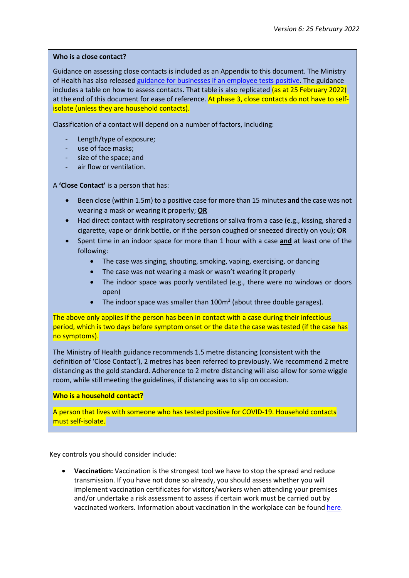#### **Who is a close contact?**

Guidance on assessing close contacts is included as an Appendix to this document. The Ministry of Health has also release[d guidance for businesses if an employee tests positive.](https://www.health.govt.nz/our-work/diseases-and-conditions/covid-19-novel-coronavirus/covid-19-health-advice-public/contact-tracing-covid-19/guidance-workplaces-have-case-covid-19) The guidance includes a table on how to assess contacts. That table is also replicated (as at 25 February 2022) at the end of this document for ease of reference. At phase 3, close contacts do not have to selfisolate (unless they are household contacts).

Classification of a contact will depend on a number of factors, including:

- Length/type of exposure;
- use of face masks;
- size of the space; and
- air flow or ventilation.

A **'Close Contact'** is a person that has:

- Been close (within 1.5m) to a positive case for more than 15 minutes **and** the case was not wearing a mask or wearing it properly; **OR**
- Had direct contact with respiratory secretions or saliva from a case (e.g., kissing, shared a cigarette, vape or drink bottle, or if the person coughed or sneezed directly on you); **OR**
- Spent time in an indoor space for more than 1 hour with a case **and** at least one of the following:
	- The case was singing, shouting, smoking, vaping, exercising, or dancing
	- The case was not wearing a mask or wasn't wearing it properly
	- The indoor space was poorly ventilated (e.g., there were no windows or doors open)
	- The indoor space was smaller than  $100m^2$  (about three double garages).

The above only applies if the person has been in contact with a case during their infectious period, which is two days before symptom onset or the date the case was tested (if the case has no symptoms).

The Ministry of Health guidance recommends 1.5 metre distancing (consistent with the definition of 'Close Contact'), 2 metres has been referred to previously. We recommend 2 metre distancing as the gold standard. Adherence to 2 metre distancing will also allow for some wiggle room, while still meeting the guidelines, if distancing was to slip on occasion.

**Who is a household contact?**

A person that lives with someone who has tested positive for COVID-19. Household contacts must self-isolate.

Key controls you should consider include:

• **Vaccination:** Vaccination is the strongest tool we have to stop the spread and reduce transmission. If you have not done so already, you should assess whether you will implement vaccination certificates for visitors/workers when attending your premises and/or undertake a risk assessment to assess if certain work must be carried out by vaccinated workers. Information about vaccination in the workplace can be found [here.](https://www.nzwine.com/en/covid19/practical-advice/)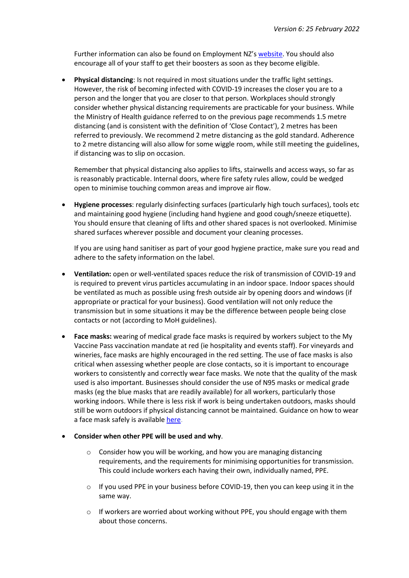Further information can also be found on Employment NZ's [website.](https://www.employment.govt.nz/leave-and-holidays/other-types-of-leave/coronavirus-workplace/covid-19-vaccination-and-employment/) You should also encourage all of your staff to get their boosters as soon as they become eligible.

• **Physical distancing**: Is not required in most situations under the traffic light settings. However, the risk of becoming infected with COVID-19 increases the closer you are to a person and the longer that you are closer to that person. Workplaces should strongly consider whether physical distancing requirements are practicable for your business. While the Ministry of Health guidance referred to on the previous page recommends 1.5 metre distancing (and is consistent with the definition of 'Close Contact'), 2 metres has been referred to previously. We recommend 2 metre distancing as the gold standard. Adherence to 2 metre distancing will also allow for some wiggle room, while still meeting the guidelines, if distancing was to slip on occasion.

Remember that physical distancing also applies to lifts, stairwells and access ways, so far as is reasonably practicable. Internal doors, where fire safety rules allow, could be wedged open to minimise touching common areas and improve air flow.

• **Hygiene processes**: regularly disinfecting surfaces (particularly high touch surfaces), tools etc and maintaining good hygiene (including hand hygiene and good cough/sneeze etiquette). You should ensure that cleaning of lifts and other shared spaces is not overlooked. Minimise shared surfaces wherever possible and document your cleaning processes.

If you are using hand sanitiser as part of your good hygiene practice, make sure you read and adhere to the safety information on the label.

- **Ventilation:** open or well-ventilated spaces reduce the risk of transmission of COVID-19 and is required to prevent virus particles accumulating in an indoor space. Indoor spaces should be ventilated as much as possible using fresh outside air by opening doors and windows (if appropriate or practical for your business). Good ventilation will not only reduce the transmission but in some situations it may be the difference between people being close contacts or not (according to MoH guidelines).
- **Face masks:** wearing of medical grade face masks is required by workers subject to the My Vaccine Pass vaccination mandate at red (ie hospitality and events staff). For vineyards and wineries, face masks are highly encouraged in the red setting. The use of face masks is also critical when assessing whether people are close contacts, so it is important to encourage workers to consistently and correctly wear face masks. We note that the quality of the mask used is also important. Businesses should consider the use of N95 masks or medical grade masks (eg the blue masks that are readily available) for all workers, particularly those working indoors. While there is less risk if work is being undertaken outdoors, masks should still be worn outdoors if physical distancing cannot be maintained. Guidance on how to wear a face mask safely is available [here.](https://covid19.govt.nz/prepare-and-stay-safe/keep-up-healthy-habits/wear-a-face-mask/how-to-wear-a-face-mask-safely/)
- **Consider when other PPE will be used and why**.
	- $\circ$  Consider how you will be working, and how you are managing distancing requirements, and the requirements for minimising opportunities for transmission. This could include workers each having their own, individually named, PPE.
	- $\circ$  If you used PPE in your business before COVID-19, then you can keep using it in the same way.
	- $\circ$  If workers are worried about working without PPE, you should engage with them about those concerns.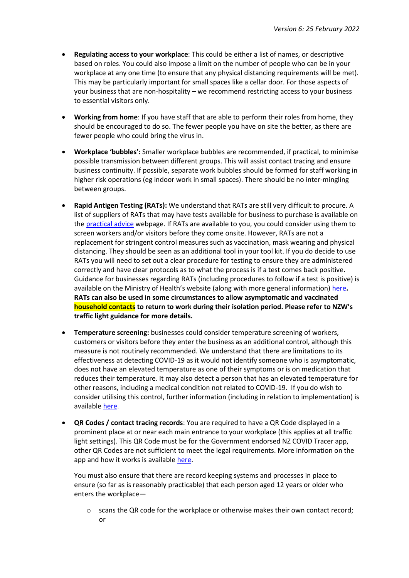- **Regulating access to your workplace**: This could be either a list of names, or descriptive based on roles. You could also impose a limit on the number of people who can be in your workplace at any one time (to ensure that any physical distancing requirements will be met). This may be particularly important for small spaces like a cellar door. For those aspects of your business that are non-hospitality – we recommend restricting access to your business to essential visitors only.
- **Working from home**: If you have staff that are able to perform their roles from home, they should be encouraged to do so. The fewer people you have on site the better, as there are fewer people who could bring the virus in.
- **Workplace 'bubbles':** Smaller workplace bubbles are recommended, if practical, to minimise possible transmission between different groups. This will assist contact tracing and ensure business continuity. If possible, separate work bubbles should be formed for staff working in higher risk operations (eg indoor work in small spaces). There should be no inter-mingling between groups.
- **Rapid Antigen Testing (RATs):** We understand that RATs are still very difficult to procure. A list of suppliers of RATs that may have tests available for business to purchase is available on the [practical advice](https://www.nzwine.com/en/covid19/practical-advice/) webpage. If RATs are available to you, you could consider using them to screen workers and/or visitors before they come onsite. However, RATs are not a replacement for stringent control measures such as vaccination, mask wearing and physical distancing. They should be seen as an additional tool in your tool kit. If you do decide to use RATs you will need to set out a clear procedure for testing to ensure they are administered correctly and have clear protocols as to what the process is if a test comes back positive. Guidance for businesses regarding RATs (including procedures to follow if a test is positive) is available on the Ministry of Health's website (along with more general information) [here](https://www.health.govt.nz/our-work/diseases-and-conditions/covid-19-novel-coronavirus/covid-19-health-advice-public/assessment-and-testing-covid-19/rapid-antigen-testing)**. RATs can also be used in some circumstances to allow asymptomatic and vaccinated household contacts to return to work during their isolation period. Please refer to NZW's traffic light guidance for more details.**
- **Temperature screening:** businesses could consider temperature screening of workers, customers or visitors before they enter the business as an additional control, although this measure is not routinely recommended. We understand that there are limitations to its effectiveness at detecting COVID-19 as it would not identify someone who is asymptomatic, does not have an elevated temperature as one of their symptoms or is on medication that reduces their temperature. It may also detect a person that has an elevated temperature for other reasons, including a medical condition not related to COVID-19. If you do wish to consider utilising this control, further information (including in relation to implementation) is available [here.](https://www.worksafe.vic.gov.au/managing-coronavirus-covid-19-risks-temperature-screening)
- **QR Codes / contact tracing records**: You are required to have a QR Code displayed in a prominent place at or near each main entrance to your workplace (this applies at all traffic light settings). This QR Code must be for the Government endorsed NZ COVID Tracer app, other QR Codes are not sufficient to meet the legal requirements. More information on the app and how it works is available [here.](https://www.business.govt.nz/covid-19/contact-tracing)

You must also ensure that there are record keeping systems and processes in place to ensure (so far as is reasonably practicable) that each person aged 12 years or older who enters the workplace—

 $\circ$  scans the QR code for the workplace or otherwise makes their own contact record; or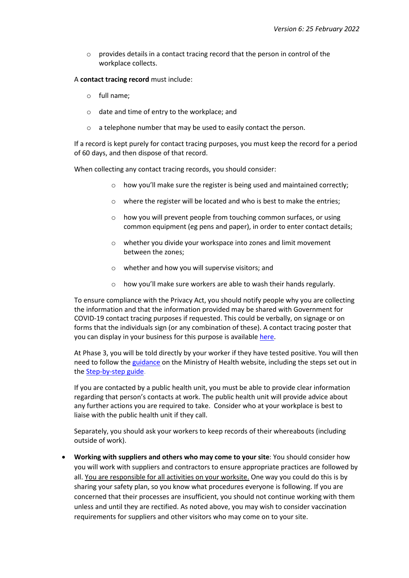$\circ$  provides details in a contact tracing record that the person in control of the workplace collects.

A **contact tracing record** must include:

- o full name;
- o date and time of entry to the workplace; and
- o a telephone number that may be used to easily contact the person.

If a record is kept purely for contact tracing purposes, you must keep the record for a period of 60 days, and then dispose of that record.

When collecting any contact tracing records, you should consider:

- o how you'll make sure the register is being used and maintained correctly;
- o where the register will be located and who is best to make the entries;
- $\circ$  how you will prevent people from touching common surfaces, or using common equipment (eg pens and paper), in order to enter contact details;
- o whether you divide your workspace into zones and limit movement between the zones;
- o whether and how you will supervise visitors; and
- o how you'll make sure workers are able to wash their hands regularly.

To ensure compliance with the Privacy Act, you should notify people why you are collecting the information and that the information provided may be shared with Government for COVID-19 contact tracing purposes if requested. This could be verbally, on signage or on forms that the individuals sign (or any combination of these). A contact tracing poster that you can display in your business for this purpose is available [here.](https://www.nzwine.com/en/covid19/practical-advice/posters-and-signage/)

At Phase 3, you will be told directly by your worker if they have tested positive. You will then need to follow the [guidance](https://www.health.govt.nz/covid-19-novel-coronavirus/covid-19-health-advice-public/covid-19-information-close-contacts/guidance-workplaces-have-case-covid-19) on the Ministry of Health website, including the steps set out in the [Step-by-step guide.](https://www.health.govt.nz/covid-19-novel-coronavirus/covid-19-health-advice-public/covid-19-information-close-contacts/guidance-workplaces-have-case-covid-19)

If you are contacted by a public health unit, you must be able to provide clear information regarding that person's contacts at work. The public health unit will provide advice about any further actions you are required to take. Consider who at your workplace is best to liaise with the public health unit if they call.

Separately, you should ask your workers to keep records of their whereabouts (including outside of work).

• **Working with suppliers and others who may come to your site**: You should consider how you will work with suppliers and contractors to ensure appropriate practices are followed by all. You are responsible for all activities on your worksite. One way you could do this is by sharing your safety plan, so you know what procedures everyone is following. If you are concerned that their processes are insufficient, you should not continue working with them unless and until they are rectified. As noted above, you may wish to consider vaccination requirements for suppliers and other visitors who may come on to your site.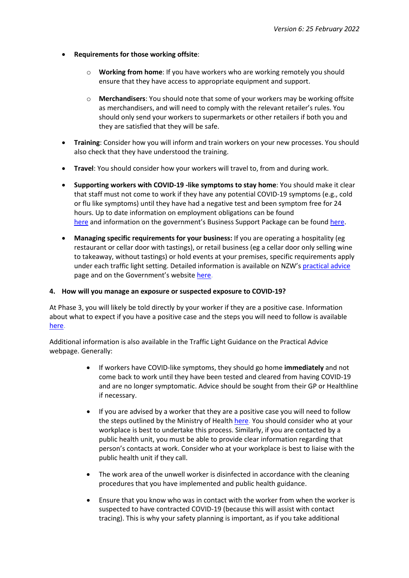- **Requirements for those working offsite**:
	- o **Working from home**: If you have workers who are working remotely you should ensure that they have access to appropriate equipment and support.
	- o **Merchandisers**: You should note that some of your workers may be working offsite as merchandisers, and will need to comply with the relevant retailer's rules. You should only send your workers to supermarkets or other retailers if both you and they are satisfied that they will be safe.
- **Training**: Consider how you will inform and train workers on your new processes. You should also check that they have understood the training.
- **Travel**: You should consider how your workers will travel to, from and during work.
- **Supporting workers with COVID-19 -like symptoms to stay home**: You should make it clear that staff must not come to work if they have any potential COVID-19 symptoms (e.g., cold or flu like symptoms) until they have had a negative test and been symptom free for 24 hours. Up to date information on employment obligations can be found [here](https://www.employment.govt.nz/leave-and-holidays/other-types-of-leave/coronavirus-workplace/) and information on the government's Business Support Package can be found [here.](https://covid19.govt.nz/traffic-lights/resources-for-businesses/covid-19-financial-support-tool-2/)
- **Managing specific requirements for your business:** If you are operating a hospitality (eg restaurant or cellar door with tastings), or retail business (eg a cellar door only selling wine to takeaway, without tastings) or hold events at your premises, specific requirements apply under each traffic light setting. Detailed information is available on NZW's [practical advice](https://www.nzwine.com/en/covid19/practical-advice/) page and on the Government's website [here.](https://covid19.govt.nz/traffic-lights/)

#### **4. How will you manage an exposure or suspected exposure to COVID-19?**

At Phase 3, you will likely be told directly by your worker if they are a positive case. Information about what to expect if you have a positive case and the steps you will need to follow is available [here.](https://www.health.govt.nz/covid-19-novel-coronavirus/covid-19-health-advice-public/covid-19-information-close-contacts/guidance-workplaces-have-case-covid-19)

Additional information is also available in the Traffic Light Guidance on the Practical Advice webpage. Generally:

- If workers have COVID-like symptoms, they should go home **immediately** and not come back to work until they have been tested and cleared from having COVID-19 and are no longer symptomatic. Advice should be sought from their GP or Healthline if necessary.
- If you are advised by a worker that they are a positive case you will need to follow the steps outlined by the Ministry of Health [here.](https://www.health.govt.nz/covid-19-novel-coronavirus/covid-19-health-advice-public/covid-19-information-close-contacts/guidance-workplaces-have-case-covid-19) You should consider who at your workplace is best to undertake this process. Similarly, if you are contacted by a public health unit, you must be able to provide clear information regarding that person's contacts at work. Consider who at your workplace is best to liaise with the public health unit if they call.
- The work area of the unwell worker is disinfected in accordance with the cleaning procedures that you have implemented and public health guidance.
- Ensure that you know who was in contact with the worker from when the worker is suspected to have contracted COVID-19 (because this will assist with contact tracing). This is why your safety planning is important, as if you take additional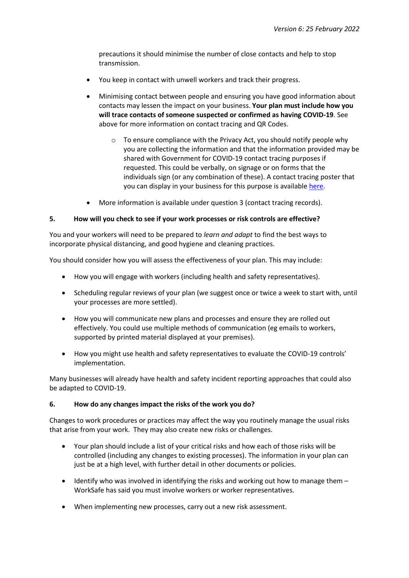precautions it should minimise the number of close contacts and help to stop transmission.

- You keep in contact with unwell workers and track their progress.
- Minimising contact between people and ensuring you have good information about contacts may lessen the impact on your business. **Your plan must include how you will trace contacts of someone suspected or confirmed as having COVID-19**. See above for more information on contact tracing and QR Codes.
	- $\circ$  To ensure compliance with the Privacy Act, you should notify people why you are collecting the information and that the information provided may be shared with Government for COVID-19 contact tracing purposes if requested. This could be verbally, on signage or on forms that the individuals sign (or any combination of these). A contact tracing poster that you can display in your business for this purpose is available [here.](https://www.nzwine.com/en/covid19/practical-advice/posters-and-signage/)
- More information is available under question 3 (contact tracing records).

#### **5. How will you check to see if your work processes or risk controls are effective?**

You and your workers will need to be prepared to *learn and adapt* to find the best ways to incorporate physical distancing, and good hygiene and cleaning practices.

You should consider how you will assess the effectiveness of your plan. This may include:

- How you will engage with workers (including health and safety representatives).
- Scheduling regular reviews of your plan (we suggest once or twice a week to start with, until your processes are more settled).
- How you will communicate new plans and processes and ensure they are rolled out effectively. You could use multiple methods of communication (eg emails to workers, supported by printed material displayed at your premises).
- How you might use health and safety representatives to evaluate the COVID-19 controls' implementation.

Many businesses will already have health and safety incident reporting approaches that could also be adapted to COVID-19.

#### **6. How do any changes impact the risks of the work you do?**

Changes to work procedures or practices may affect the way you routinely manage the usual risks that arise from your work. They may also create new risks or challenges.

- Your plan should include a list of your critical risks and how each of those risks will be controlled (including any changes to existing processes). The information in your plan can just be at a high level, with further detail in other documents or policies.
- Identify who was involved in identifying the risks and working out how to manage them WorkSafe has said you must involve workers or worker representatives.
- When implementing new processes, carry out a new risk assessment.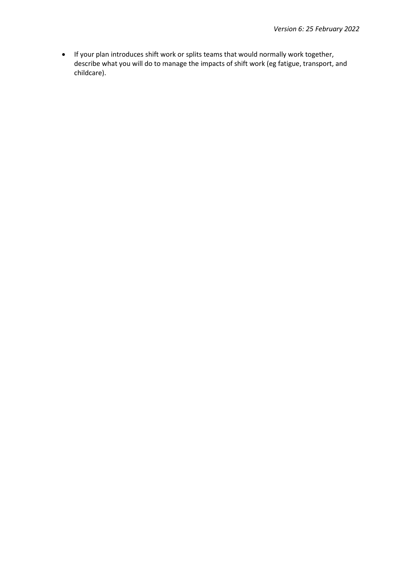• If your plan introduces shift work or splits teams that would normally work together, describe what you will do to manage the impacts of shift work (eg fatigue, transport, and childcare).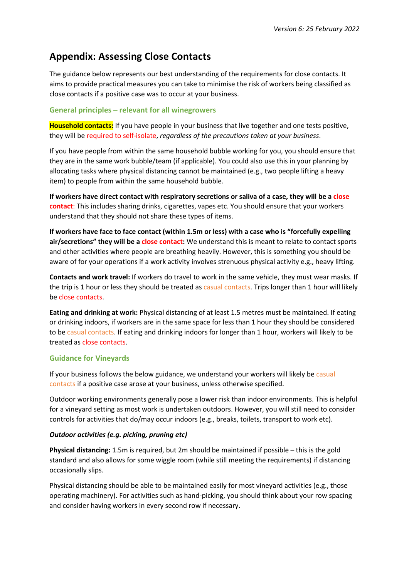# **Appendix: Assessing Close Contacts**

The guidance below represents our best understanding of the requirements for close contacts. It aims to provide practical measures you can take to minimise the risk of workers being classified as close contacts if a positive case was to occur at your business.

# **General principles – relevant for all winegrowers**

**Household contacts:** If you have people in your business that live together and one tests positive, they will be required to self-isolate, *regardless of the precautions taken at your business*.

If you have people from within the same household bubble working for you, you should ensure that they are in the same work bubble/team (if applicable). You could also use this in your planning by allocating tasks where physical distancing cannot be maintained (e.g., two people lifting a heavy item) to people from within the same household bubble.

**If workers have direct contact with respiratory secretions or saliva of a case, they will be a close contact**: This includes sharing drinks, cigarettes, vapes etc. You should ensure that your workers understand that they should not share these types of items.

**If workers have face to face contact (within 1.5m or less) with a case who is "forcefully expelling air/secretions" they will be a close contact:** We understand this is meant to relate to contact sports and other activities where people are breathing heavily. However, this is something you should be aware of for your operations if a work activity involves strenuous physical activity e.g., heavy lifting.

**Contacts and work travel:** If workers do travel to work in the same vehicle, they must wear masks. If the trip is 1 hour or less they should be treated as casual contacts. Trips longer than 1 hour will likely be close contacts.

**Eating and drinking at work:** Physical distancing of at least 1.5 metres must be maintained. If eating or drinking indoors, if workers are in the same space for less than 1 hour they should be considered to be casual contacts. If eating and drinking indoors for longer than 1 hour, workers will likely to be treated as close contacts.

## **Guidance for Vineyards**

If your business follows the below guidance, we understand your workers will likely be casual contacts if a positive case arose at your business, unless otherwise specified.

Outdoor working environments generally pose a lower risk than indoor environments. This is helpful for a vineyard setting as most work is undertaken outdoors. However, you will still need to consider controls for activities that do/may occur indoors (e.g., breaks, toilets, transport to work etc).

## *Outdoor activities (e.g. picking, pruning etc)*

**Physical distancing:** 1.5m is required, but 2m should be maintained if possible – this is the gold standard and also allows for some wiggle room (while still meeting the requirements) if distancing occasionally slips.

Physical distancing should be able to be maintained easily for most vineyard activities (e.g., those operating machinery). For activities such as hand-picking, you should think about your row spacing and consider having workers in every second row if necessary.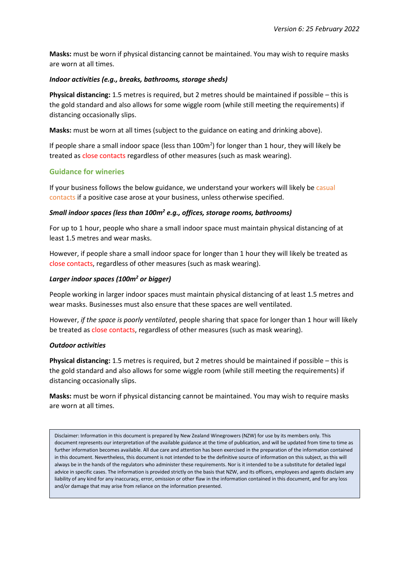**Masks:** must be worn if physical distancing cannot be maintained. You may wish to require masks are worn at all times.

## *Indoor activities (e.g., breaks, bathrooms, storage sheds)*

**Physical distancing:** 1.5 metres is required, but 2 metres should be maintained if possible – this is the gold standard and also allows for some wiggle room (while still meeting the requirements) if distancing occasionally slips.

**Masks:** must be worn at all times (subject to the guidance on eating and drinking above).

If people share a small indoor space (less than  $100m<sup>2</sup>$ ) for longer than 1 hour, they will likely be treated as close contacts regardless of other measures (such as mask wearing).

## **Guidance for wineries**

If your business follows the below guidance, we understand your workers will likely be casual contacts if a positive case arose at your business, unless otherwise specified.

## *Small indoor spaces (less than 100m2 e.g., offices, storage rooms, bathrooms)*

For up to 1 hour, people who share a small indoor space must maintain physical distancing of at least 1.5 metres and wear masks.

However, if people share a small indoor space for longer than 1 hour they will likely be treated as close contacts, regardless of other measures (such as mask wearing).

## *Larger indoor spaces (100m2 or bigger)*

People working in larger indoor spaces must maintain physical distancing of at least 1.5 metres and wear masks. Businesses must also ensure that these spaces are well ventilated.

However, *if the space is poorly ventilated*, people sharing that space for longer than 1 hour will likely be treated as close contacts, regardless of other measures (such as mask wearing).

#### *Outdoor activities*

**Physical distancing:** 1.5 metres is required, but 2 metres should be maintained if possible – this is the gold standard and also allows for some wiggle room (while still meeting the requirements) if distancing occasionally slips.

**Masks:** must be worn if physical distancing cannot be maintained. You may wish to require masks are worn at all times.

Disclaimer: Information in this document is prepared by New Zealand Winegrowers (NZW) for use by its members only. This document represents our interpretation of the available guidance at the time of publication, and will be updated from time to time as further information becomes available. All due care and attention has been exercised in the preparation of the information contained in this document. Nevertheless, this document is not intended to be the definitive source of information on this subject, as this will always be in the hands of the regulators who administer these requirements. Nor is it intended to be a substitute for detailed legal advice in specific cases. The information is provided strictly on the basis that NZW, and its officers, employees and agents disclaim any liability of any kind for any inaccuracy, error, omission or other flaw in the information contained in this document, and for any loss and/or damage that may arise from reliance on the information presented.